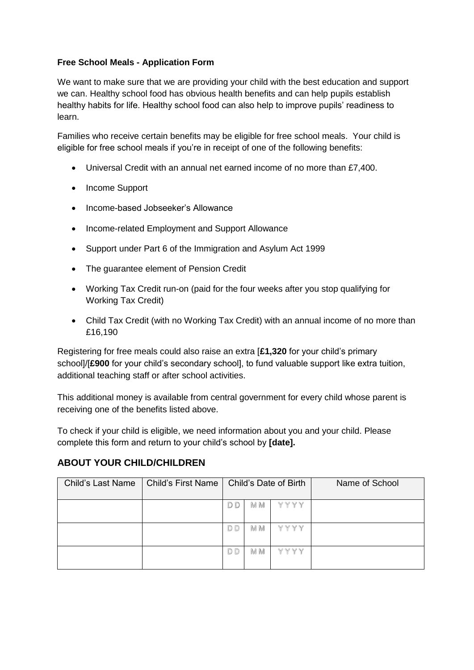## **Free School Meals - Application Form**

We want to make sure that we are providing your child with the best education and support we can. Healthy school food has obvious health benefits and can help pupils establish healthy habits for life. Healthy school food can also help to improve pupils' readiness to learn.

Families who receive certain benefits may be eligible for free school meals. Your child is eligible for free school meals if you're in receipt of one of the following benefits:

- Universal Credit with an annual net earned income of no more than £7,400.
- Income Support
- Income-based Jobseeker's Allowance
- Income-related Employment and Support Allowance
- Support under Part 6 of the Immigration and Asylum Act 1999
- The quarantee element of Pension Credit
- Working Tax Credit run-on (paid for the four weeks after you stop qualifying for Working Tax Credit)
- Child Tax Credit (with no Working Tax Credit) with an annual income of no more than £16,190

Registering for free meals could also raise an extra [**£1,320** for your child's primary school]/[**£900** for your child's secondary school], to fund valuable support like extra tuition, additional teaching staff or after school activities.

This additional money is available from central government for every child whose parent is receiving one of the benefits listed above.

To check if your child is eligible, we need information about you and your child. Please complete this form and return to your child's school by **[date].**

## **ABOUT YOUR CHILD/CHILDREN**

| <b>Child's Last Name</b> | <b>Child's First Name</b> | Child's Date of Birth |            |      | Name of School |
|--------------------------|---------------------------|-----------------------|------------|------|----------------|
|                          |                           | D D                   | <b>M</b> M | YYYY |                |
|                          |                           | D <sub>D</sub>        | M M        | YYYY |                |
|                          |                           | D D                   | M M        | YYYY |                |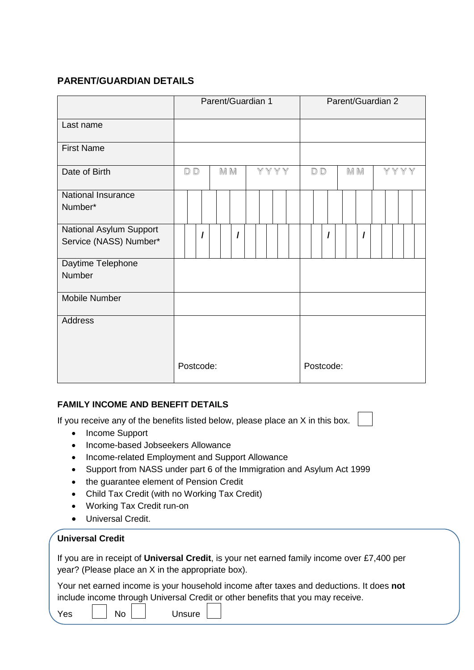# **PARENT/GUARDIAN DETAILS**

|                                                   | Parent/Guardian 1 |     |      |  | Parent/Guardian 2 |          |      |  |
|---------------------------------------------------|-------------------|-----|------|--|-------------------|----------|------|--|
| Last name                                         |                   |     |      |  |                   |          |      |  |
| <b>First Name</b>                                 |                   |     |      |  |                   |          |      |  |
| Date of Birth                                     | D D               | M M | YYYY |  | D <sub>D</sub>    | M M      | YYYY |  |
| National Insurance<br>Number*                     |                   |     |      |  |                   |          |      |  |
| National Asylum Support<br>Service (NASS) Number* |                   | I   |      |  |                   | $\prime$ |      |  |
| Daytime Telephone<br>Number                       |                   |     |      |  |                   |          |      |  |
| Mobile Number                                     |                   |     |      |  |                   |          |      |  |
| <b>Address</b>                                    | Postcode:         |     |      |  | Postcode:         |          |      |  |

## **FAMILY INCOME AND BENEFIT DETAILS**

If you receive any of the benefits listed below, please place an X in this box.

- Income Support
- Income-based Jobseekers Allowance
- Income-related Employment and Support Allowance
- Support from NASS under part 6 of the Immigration and Asylum Act 1999
- the guarantee element of Pension Credit
- Child Tax Credit (with no Working Tax Credit)
- Working Tax Credit run-on
- Universal Credit.

## **Universal Credit**

If you are in receipt of **Universal Credit**, is your net earned family income over £7,400 per year? (Please place an X in the appropriate box).

Your net earned income is your household income after taxes and deductions. It does **not** include income through Universal Credit or other benefits that you may receive.

No Unsure